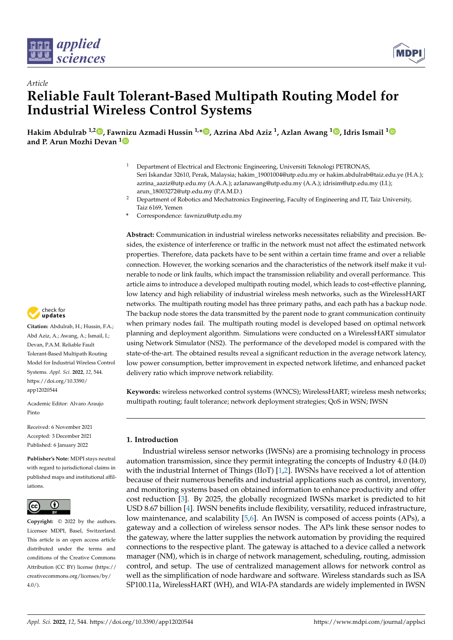



# *Article* **Reliable Fault Tolerant-Based Multipath Routing Model for Industrial Wireless Control Systems**

**Hakim Abdulrab 1,2 [,](https://orcid.org/0000-0001-7180-7942) Fawnizu Azmadi Hussin 1,\* [,](https://orcid.org/0000-0002-1419-9300) Azrina Abd Aziz <sup>1</sup> , Azlan Awang <sup>1</sup> [,](https://orcid.org/0000-0002-1853-3820) Idris Ismail [1](https://orcid.org/0000-0001-6923-7530) and P. Arun Mozhi Devan [1](https://orcid.org/0000-0003-0231-5113)**

- <sup>1</sup> Department of Electrical and Electronic Engineering, Universiti Teknologi PETRONAS, Seri Iskandar 32610, Perak, Malaysia; hakim\_19001004@utp.edu.my or hakim.abdulrab@taiz.edu.ye (H.A.); azrina\_aaziz@utp.edu.my (A.A.A.); azlanawang@utp.edu.my (A.A.); idrisim@utp.edu.my (I.I.); arun\_18003272@utp.edu.my (P.A.M.D.)
- <sup>2</sup> Department of Robotics and Mechatronics Engineering, Faculty of Engineering and IT, Taiz University, Taiz 6169, Yemen
- **\*** Correspondence: fawnizu@utp.edu.my

**Abstract:** Communication in industrial wireless networks necessitates reliability and precision. Besides, the existence of interference or traffic in the network must not affect the estimated network properties. Therefore, data packets have to be sent within a certain time frame and over a reliable connection. However, the working scenarios and the characteristics of the network itself make it vulnerable to node or link faults, which impact the transmission reliability and overall performance. This article aims to introduce a developed multipath routing model, which leads to cost-effective planning, low latency and high reliability of industrial wireless mesh networks, such as the WirelessHART networks. The multipath routing model has three primary paths, and each path has a backup node. The backup node stores the data transmitted by the parent node to grant communication continuity when primary nodes fail. The multipath routing model is developed based on optimal network planning and deployment algorithm. Simulations were conducted on a WirelessHART simulator using Network Simulator (NS2). The performance of the developed model is compared with the state-of-the-art. The obtained results reveal a significant reduction in the average network latency, low power consumption, better improvement in expected network lifetime, and enhanced packet delivery ratio which improve network reliability.

**Keywords:** wireless networked control systems (WNCS); WirelessHART; wireless mesh networks; multipath routing; fault tolerance; network deployment strategies; QoS in WSN; IWSN

# **1. Introduction**

Industrial wireless sensor networks (IWSNs) are a promising technology in process automation transmission, since they permit integrating the concepts of Industry 4.0 (I4.0) with the industrial Internet of Things (IIoT)  $[1,2]$  $[1,2]$ . IWSNs have received a lot of attention because of their numerous benefits and industrial applications such as control, inventory, and monitoring systems based on obtained information to enhance productivity and offer cost reduction [\[3\]](#page-20-2). By 2025, the globally recognized IWSNs market is predicted to hit USD 8.67 billion [\[4\]](#page-20-3). IWSN benefits include flexibility, versatility, reduced infrastructure, low maintenance, and scalability [\[5,](#page-20-4)[6\]](#page-20-5). An IWSN is composed of access points (APs), a gateway and a collection of wireless sensor nodes. The APs link these sensor nodes to the gateway, where the latter supplies the network automation by providing the required connections to the respective plant. The gateway is attached to a device called a network manager (NM), which is in charge of network management, scheduling, routing, admission control, and setup. The use of centralized management allows for network control as well as the simplification of node hardware and software. Wireless standards such as ISA SP100.11a, WirelessHART (WH), and WIA-PA standards are widely implemented in IWSN



**Citation:** Abdulrab, H.; Hussin, F.A.; Abd Aziz, A.; Awang, A.; Ismail, I.; Devan, P.A.M. Reliable Fault Tolerant-Based Multipath Routing Model for Industrial Wireless Control Systems. *Appl. Sci.* **2022**, *12*, 544. [https://doi.org/10.3390/](https://doi.org/10.3390/app12020544) [app12020544](https://doi.org/10.3390/app12020544)

Academic Editor: Alvaro Araujo Pinto

Received: 6 November 2021 Accepted: 3 December 2021 Published: 6 January 2022

**Publisher's Note:** MDPI stays neutral with regard to jurisdictional claims in published maps and institutional affiliations.



**Copyright:** © 2022 by the authors. Licensee MDPI, Basel, Switzerland. This article is an open access article distributed under the terms and conditions of the Creative Commons Attribution (CC BY) license [\(https://](https://creativecommons.org/licenses/by/4.0/) [creativecommons.org/licenses/by/](https://creativecommons.org/licenses/by/4.0/)  $4.0/$ ).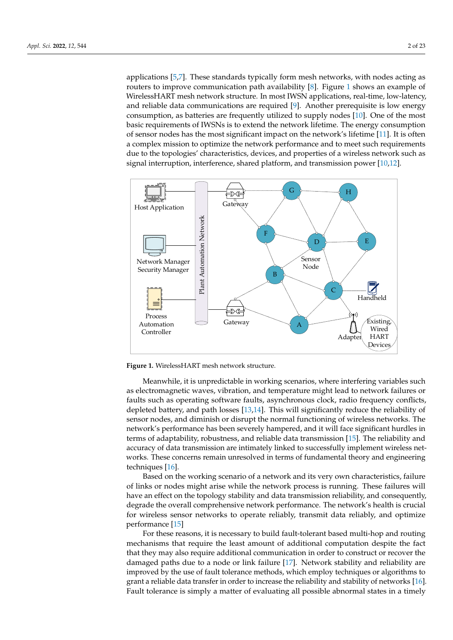applications [\[5](#page-20-4)[,7\]](#page-20-6). These standards typically form mesh networks, with nodes acting as routers to improve communication path availability [\[8\]](#page-20-7). Figure [1](#page-1-0) shows an example of WirelessHART mesh network structure. In most IWSN applications, real-time, low-latency, and reliable data communications are required [\[9\]](#page-20-8). Another prerequisite is low energy consumption, as batteries are frequently utilized to supply nodes [\[10\]](#page-20-9). One of the most basic requirements of IWSNs is to extend the network lifetime. The energy consumption of sensor nodes has the most significant impact on the network's lifetime [\[11\]](#page-20-10). It is often a complex mission to optimize the network performance and to meet such requirements due to the topologies' characteristics, devices, and properties of a wireless network such as signal interruption, interference, shared platform, and transmission power [\[10,](#page-20-9)[12\]](#page-20-11).

<span id="page-1-0"></span>

**Figure 1.** WirelessHART mesh network structure.

Meanwhile, it is unpredictable in working scenarios, where interfering variables such as electromagnetic waves, vibration, and temperature might lead to network failures or faults such as operating software faults, asynchronous clock, radio frequency conflicts, depleted battery, and path losses [\[13,](#page-20-12)[14\]](#page-20-13). This will significantly reduce the reliability of sensor nodes, and diminish or disrupt the normal functioning of wireless networks. The network's performance has been severely hampered, and it will face significant hurdles in terms of adaptability, robustness, and reliable data transmission [\[15\]](#page-20-14). The reliability and accuracy of data transmission are intimately linked to successfully implement wireless networks. These concerns remain unresolved in terms of fundamental theory and engineering techniques [\[16\]](#page-20-15).

Based on the working scenario of a network and its very own characteristics, failure of links or nodes might arise while the network process is running. These failures will have an effect on the topology stability and data transmission reliability, and consequently, degrade the overall comprehensive network performance. The network's health is crucial for wireless sensor networks to operate reliably, transmit data reliably, and optimize performance [\[15\]](#page-20-14)

For these reasons, it is necessary to build fault-tolerant based multi-hop and routing mechanisms that require the least amount of additional computation despite the fact that they may also require additional communication in order to construct or recover the damaged paths due to a node or link failure [\[17\]](#page-20-16). Network stability and reliability are improved by the use of fault tolerance methods, which employ techniques or algorithms to grant a reliable data transfer in order to increase the reliability and stability of networks [\[16\]](#page-20-15). Fault tolerance is simply a matter of evaluating all possible abnormal states in a timely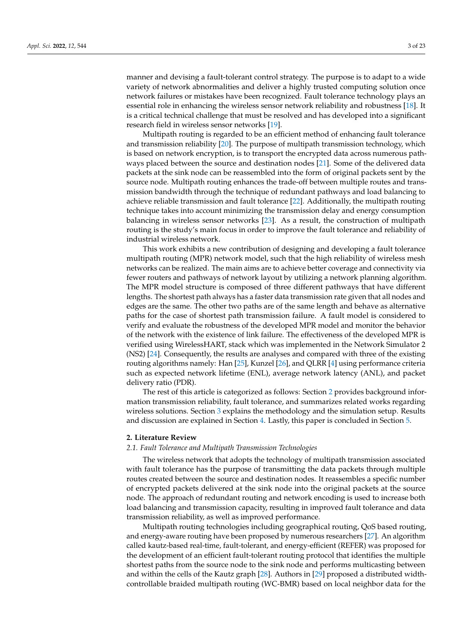manner and devising a fault-tolerant control strategy. The purpose is to adapt to a wide variety of network abnormalities and deliver a highly trusted computing solution once network failures or mistakes have been recognized. Fault tolerance technology plays an essential role in enhancing the wireless sensor network reliability and robustness [\[18\]](#page-20-17). It is a critical technical challenge that must be resolved and has developed into a significant research field in wireless sensor networks [\[19\]](#page-20-18).

Multipath routing is regarded to be an efficient method of enhancing fault tolerance and transmission reliability [\[20\]](#page-20-19). The purpose of multipath transmission technology, which is based on network encryption, is to transport the encrypted data across numerous pathways placed between the source and destination nodes [\[21\]](#page-20-20). Some of the delivered data packets at the sink node can be reassembled into the form of original packets sent by the source node. Multipath routing enhances the trade-off between multiple routes and transmission bandwidth through the technique of redundant pathways and load balancing to achieve reliable transmission and fault tolerance [\[22\]](#page-20-21). Additionally, the multipath routing technique takes into account minimizing the transmission delay and energy consumption balancing in wireless sensor networks [\[23\]](#page-20-22). As a result, the construction of multipath routing is the study's main focus in order to improve the fault tolerance and reliability of industrial wireless network.

This work exhibits a new contribution of designing and developing a fault tolerance multipath routing (MPR) network model, such that the high reliability of wireless mesh networks can be realized. The main aims are to achieve better coverage and connectivity via fewer routers and pathways of network layout by utilizing a network planning algorithm. The MPR model structure is composed of three different pathways that have different lengths. The shortest path always has a faster data transmission rate given that all nodes and edges are the same. The other two paths are of the same length and behave as alternative paths for the case of shortest path transmission failure. A fault model is considered to verify and evaluate the robustness of the developed MPR model and monitor the behavior of the network with the existence of link failure. The effectiveness of the developed MPR is verified using WirelessHART, stack which was implemented in the Network Simulator 2 (NS2) [\[24\]](#page-20-23). Consequently, the results are analyses and compared with three of the existing routing algorithms namely: Han [\[25\]](#page-20-24), Kunzel [\[26\]](#page-20-25), and QLRR [\[4\]](#page-20-3) using performance criteria such as expected network lifetime (ENL), average network latency (ANL), and packet delivery ratio (PDR).

The rest of this article is categorized as follows: Section [2](#page-2-0) provides background information transmission reliability, fault tolerance, and summarizes related works regarding wireless solutions. Section [3](#page-6-0) explains the methodology and the simulation setup. Results and discussion are explained in Section [4.](#page-12-0) Lastly, this paper is concluded in Section [5.](#page-19-0)

#### <span id="page-2-0"></span>**2. Literature Review**

#### *2.1. Fault Tolerance and Multipath Transmission Technologies*

The wireless network that adopts the technology of multipath transmission associated with fault tolerance has the purpose of transmitting the data packets through multiple routes created between the source and destination nodes. It reassembles a specific number of encrypted packets delivered at the sink node into the original packets at the source node. The approach of redundant routing and network encoding is used to increase both load balancing and transmission capacity, resulting in improved fault tolerance and data transmission reliability, as well as improved performance.

Multipath routing technologies including geographical routing, QoS based routing, and energy-aware routing have been proposed by numerous researchers [\[27\]](#page-20-26). An algorithm called kautz-based real-time, fault-tolerant, and energy-efficient (REFER) was proposed for the development of an efficient fault-tolerant routing protocol that identifies the multiple shortest paths from the source node to the sink node and performs multicasting between and within the cells of the Kautz graph [\[28\]](#page-20-27). Authors in [\[29\]](#page-21-0) proposed a distributed widthcontrollable braided multipath routing (WC-BMR) based on local neighbor data for the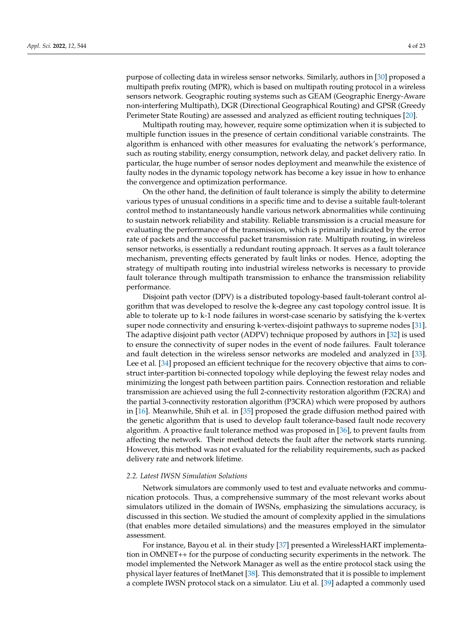purpose of collecting data in wireless sensor networks. Similarly, authors in [\[30\]](#page-21-1) proposed a multipath prefix routing (MPR), which is based on multipath routing protocol in a wireless sensors network. Geographic routing systems such as GEAM (Geographic Energy-Aware non-interfering Multipath), DGR (Directional Geographical Routing) and GPSR (Greedy Perimeter State Routing) are assessed and analyzed as efficient routing techniques [\[20\]](#page-20-19).

Multipath routing may, however, require some optimization when it is subjected to multiple function issues in the presence of certain conditional variable constraints. The algorithm is enhanced with other measures for evaluating the network's performance, such as routing stability, energy consumption, network delay, and packet delivery ratio. In particular, the huge number of sensor nodes deployment and meanwhile the existence of faulty nodes in the dynamic topology network has become a key issue in how to enhance the convergence and optimization performance.

On the other hand, the definition of fault tolerance is simply the ability to determine various types of unusual conditions in a specific time and to devise a suitable fault-tolerant control method to instantaneously handle various network abnormalities while continuing to sustain network reliability and stability. Reliable transmission is a crucial measure for evaluating the performance of the transmission, which is primarily indicated by the error rate of packets and the successful packet transmission rate. Multipath routing, in wireless sensor networks, is essentially a redundant routing approach. It serves as a fault tolerance mechanism, preventing effects generated by fault links or nodes. Hence, adopting the strategy of multipath routing into industrial wireless networks is necessary to provide fault tolerance through multipath transmission to enhance the transmission reliability performance.

Disjoint path vector (DPV) is a distributed topology-based fault-tolerant control algorithm that was developed to resolve the k-degree any cast topology control issue. It is able to tolerate up to k-1 node failures in worst-case scenario by satisfying the k-vertex super node connectivity and ensuring k-vertex-disjoint pathways to supreme nodes [\[31\]](#page-21-2). The adaptive disjoint path vector (ADPV) technique proposed by authors in [\[32\]](#page-21-3) is used to ensure the connectivity of super nodes in the event of node failures. Fault tolerance and fault detection in the wireless sensor networks are modeled and analyzed in [\[33\]](#page-21-4). Lee et al. [\[34\]](#page-21-5) proposed an efficient technique for the recovery objective that aims to construct inter-partition bi-connected topology while deploying the fewest relay nodes and minimizing the longest path between partition pairs. Connection restoration and reliable transmission are achieved using the full 2-connectivity restoration algorithm (F2CRA) and the partial 3-connectivity restoration algorithm (P3CRA) which were proposed by authors in [\[16\]](#page-20-15). Meanwhile, Shih et al. in [\[35\]](#page-21-6) proposed the grade diffusion method paired with the genetic algorithm that is used to develop fault tolerance-based fault node recovery algorithm. A proactive fault tolerance method was proposed in [\[36\]](#page-21-7), to prevent faults from affecting the network. Their method detects the fault after the network starts running. However, this method was not evaluated for the reliability requirements, such as packed delivery rate and network lifetime.

#### *2.2. Latest IWSN Simulation Solutions*

Network simulators are commonly used to test and evaluate networks and communication protocols. Thus, a comprehensive summary of the most relevant works about simulators utilized in the domain of IWSNs, emphasizing the simulations accuracy, is discussed in this section. We studied the amount of complexity applied in the simulations (that enables more detailed simulations) and the measures employed in the simulator assessment.

For instance, Bayou et al. in their study [\[37\]](#page-21-8) presented a WirelessHART implementation in OMNET++ for the purpose of conducting security experiments in the network. The model implemented the Network Manager as well as the entire protocol stack using the physical layer features of InetManet [\[38\]](#page-21-9). This demonstrated that it is possible to implement a complete IWSN protocol stack on a simulator. Liu et al. [\[39\]](#page-21-10) adapted a commonly used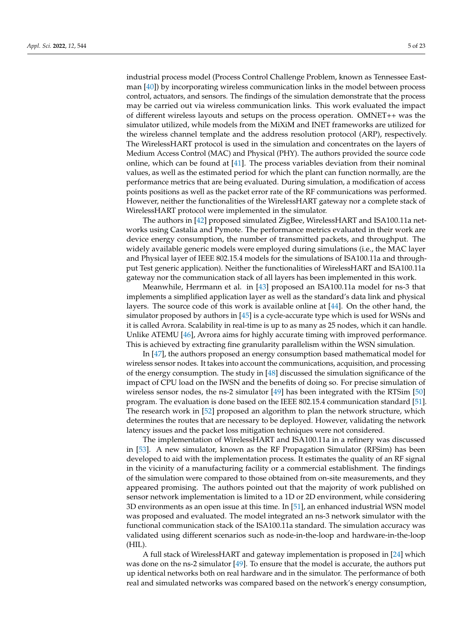industrial process model (Process Control Challenge Problem, known as Tennessee Eastman [\[40\]](#page-21-11)) by incorporating wireless communication links in the model between process control, actuators, and sensors. The findings of the simulation demonstrate that the process may be carried out via wireless communication links. This work evaluated the impact of different wireless layouts and setups on the process operation. OMNET++ was the simulator utilized, while models from the MiXiM and INET frameworks are utilized for the wireless channel template and the address resolution protocol (ARP), respectively. The WirelessHART protocol is used in the simulation and concentrates on the layers of Medium Access Control (MAC) and Physical (PHY). The authors provided the source code online, which can be found at [\[41\]](#page-21-12). The process variables deviation from their nominal values, as well as the estimated period for which the plant can function normally, are the performance metrics that are being evaluated. During simulation, a modification of access points positions as well as the packet error rate of the RF communications was performed. However, neither the functionalities of the WirelessHART gateway nor a complete stack of WirelessHART protocol were implemented in the simulator.

The authors in [\[42\]](#page-21-13) proposed simulated ZigBee, WirelessHART and ISA100.11a networks using Castalia and Pymote. The performance metrics evaluated in their work are device energy consumption, the number of transmitted packets, and throughput. The widely available generic models were employed during simulations (i.e., the MAC layer and Physical layer of IEEE 802.15.4 models for the simulations of ISA100.11a and throughput Test generic application). Neither the functionalities of WirelessHART and ISA100.11a gateway nor the communication stack of all layers has been implemented in this work.

Meanwhile, Herrmann et al. in [\[43\]](#page-21-14) proposed an ISA100.11a model for ns-3 that implements a simplified application layer as well as the standard's data link and physical layers. The source code of this work is available online at [\[44\]](#page-21-15). On the other hand, the simulator proposed by authors in [\[45\]](#page-21-16) is a cycle-accurate type which is used for WSNs and it is called Avrora. Scalability in real-time is up to as many as 25 nodes, which it can handle. Unlike ATEMU [\[46\]](#page-21-17), Avrora aims for highly accurate timing with improved performance. This is achieved by extracting fine granularity parallelism within the WSN simulation.

In [\[47\]](#page-21-18), the authors proposed an energy consumption based mathematical model for wireless sensor nodes. It takes into account the communications, acquisition, and processing of the energy consumption. The study in  $[48]$  discussed the simulation significance of the impact of CPU load on the IWSN and the benefits of doing so. For precise simulation of wireless sensor nodes, the ns-2 simulator [\[49\]](#page-21-20) has been integrated with the RTSim [\[50\]](#page-21-21) program. The evaluation is done based on the IEEE 802.15.4 communication standard [\[51\]](#page-21-22). The research work in [\[52\]](#page-21-23) proposed an algorithm to plan the network structure, which determines the routes that are necessary to be deployed. However, validating the network latency issues and the packet loss mitigation techniques were not considered.

The implementation of WirelessHART and ISA100.11a in a refinery was discussed in [\[53\]](#page-21-24). A new simulator, known as the RF Propagation Simulator (RFSim) has been developed to aid with the implementation process. It estimates the quality of an RF signal in the vicinity of a manufacturing facility or a commercial establishment. The findings of the simulation were compared to those obtained from on-site measurements, and they appeared promising. The authors pointed out that the majority of work published on sensor network implementation is limited to a 1D or 2D environment, while considering 3D environments as an open issue at this time. In [\[51\]](#page-21-22), an enhanced industrial WSN model was proposed and evaluated. The model integrated an ns-3 network simulator with the functional communication stack of the ISA100.11a standard. The simulation accuracy was validated using different scenarios such as node-in-the-loop and hardware-in-the-loop (HIL).

A full stack of WirelessHART and gateway implementation is proposed in [\[24\]](#page-20-23) which was done on the ns-2 simulator [\[49\]](#page-21-20). To ensure that the model is accurate, the authors put up identical networks both on real hardware and in the simulator. The performance of both real and simulated networks was compared based on the network's energy consumption,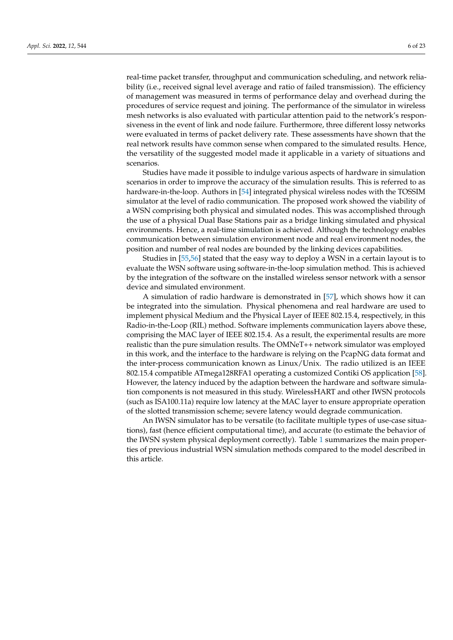real-time packet transfer, throughput and communication scheduling, and network reliability (i.e., received signal level average and ratio of failed transmission). The efficiency of management was measured in terms of performance delay and overhead during the procedures of service request and joining. The performance of the simulator in wireless mesh networks is also evaluated with particular attention paid to the network's responsiveness in the event of link and node failure. Furthermore, three different lossy networks were evaluated in terms of packet delivery rate. These assessments have shown that the real network results have common sense when compared to the simulated results. Hence, the versatility of the suggested model made it applicable in a variety of situations and scenarios.

Studies have made it possible to indulge various aspects of hardware in simulation scenarios in order to improve the accuracy of the simulation results. This is referred to as hardware-in-the-loop. Authors in [\[54\]](#page-21-25) integrated physical wireless nodes with the TOSSIM simulator at the level of radio communication. The proposed work showed the viability of a WSN comprising both physical and simulated nodes. This was accomplished through the use of a physical Dual Base Stations pair as a bridge linking simulated and physical environments. Hence, a real-time simulation is achieved. Although the technology enables communication between simulation environment node and real environment nodes, the position and number of real nodes are bounded by the linking devices capabilities.

Studies in [\[55,](#page-21-26)[56\]](#page-21-27) stated that the easy way to deploy a WSN in a certain layout is to evaluate the WSN software using software-in-the-loop simulation method. This is achieved by the integration of the software on the installed wireless sensor network with a sensor device and simulated environment.

A simulation of radio hardware is demonstrated in [\[57\]](#page-22-0), which shows how it can be integrated into the simulation. Physical phenomena and real hardware are used to implement physical Medium and the Physical Layer of IEEE 802.15.4, respectively, in this Radio-in-the-Loop (RIL) method. Software implements communication layers above these, comprising the MAC layer of IEEE 802.15.4. As a result, the experimental results are more realistic than the pure simulation results. The OMNeT++ network simulator was employed in this work, and the interface to the hardware is relying on the PcapNG data format and the inter-process communication known as Linux/Unix. The radio utilized is an IEEE 802.15.4 compatible ATmega128RFA1 operating a customized Contiki OS application [\[58\]](#page-22-1). However, the latency induced by the adaption between the hardware and software simulation components is not measured in this study. WirelessHART and other IWSN protocols (such as ISA100.11a) require low latency at the MAC layer to ensure appropriate operation of the slotted transmission scheme; severe latency would degrade communication.

An IWSN simulator has to be versatile (to facilitate multiple types of use-case situations), fast (hence efficient computational time), and accurate (to estimate the behavior of the IWSN system physical deployment correctly). Table [1](#page-6-1) summarizes the main properties of previous industrial WSN simulation methods compared to the model described in this article.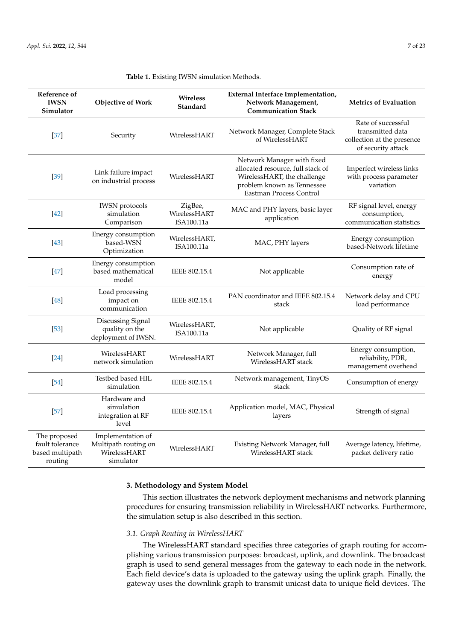| Reference of<br><b>IWSN</b><br>Simulator                      | <b>Objective of Work</b>                                               | Wireless<br>Standard                  | External Interface Implementation,<br>Network Management,<br><b>Communication Stack</b>                                                                 | <b>Metrics of Evaluation</b>                                                               |
|---------------------------------------------------------------|------------------------------------------------------------------------|---------------------------------------|---------------------------------------------------------------------------------------------------------------------------------------------------------|--------------------------------------------------------------------------------------------|
| $[37]$                                                        | Security                                                               | WirelessHART                          | Network Manager, Complete Stack<br>of WirelessHART                                                                                                      | Rate of successful<br>transmitted data<br>collection at the presence<br>of security attack |
| $[39]$                                                        | Link failure impact<br>on industrial process                           | WirelessHART                          | Network Manager with fixed<br>allocated resource, full stack of<br>WirelessHART, the challenge<br>problem known as Tennessee<br>Eastman Process Control | Imperfect wireless links<br>with process parameter<br>variation                            |
| $[42]$                                                        | <b>IWSN</b> protocols<br>simulation<br>Comparison                      | ZigBee,<br>WirelessHART<br>ISA100.11a | MAC and PHY layers, basic layer<br>application                                                                                                          | RF signal level, energy<br>consumption,<br>communication statistics                        |
| $[43]$                                                        | Energy consumption<br>based-WSN<br>Optimization                        | WirelessHART,<br>ISA100.11a           | MAC, PHY layers                                                                                                                                         | Energy consumption<br>based-Network lifetime                                               |
| $[47]$                                                        | Energy consumption<br>based mathematical<br>model                      | IEEE 802.15.4                         | Not applicable                                                                                                                                          | Consumption rate of<br>energy                                                              |
| $[48]$                                                        | Load processing<br>impact on<br>communication                          | IEEE 802.15.4                         | PAN coordinator and IEEE 802.15.4<br>stack                                                                                                              | Network delay and CPU<br>load performance                                                  |
| $[53]$                                                        | Discussing Signal<br>quality on the<br>deployment of IWSN.             | WirelessHART,<br>ISA100.11a           | Not applicable                                                                                                                                          | Quality of RF signal                                                                       |
| $[24]$                                                        | WirelessHART<br>network simulation                                     | WirelessHART                          | Network Manager, full<br>WirelessHART stack                                                                                                             | Energy consumption,<br>reliability, PDR,<br>management overhead                            |
| $[54]$                                                        | Testbed based HIL<br>simulation                                        | IEEE 802.15.4                         | Network management, TinyOS<br>stack                                                                                                                     | Consumption of energy                                                                      |
| $[57]$                                                        | Hardware and<br>simulation<br>integration at RF<br>level               | IEEE 802.15.4                         | Application model, MAC, Physical<br>layers                                                                                                              | Strength of signal                                                                         |
| The proposed<br>fault tolerance<br>based multipath<br>routing | Implementation of<br>Multipath routing on<br>WirelessHART<br>simulator | WirelessHART                          | Existing Network Manager, full<br>WirelessHART stack                                                                                                    | Average latency, lifetime,<br>packet delivery ratio                                        |

<span id="page-6-1"></span>

|  |  |  |  |  | Table 1. Existing IWSN simulation Methods. |
|--|--|--|--|--|--------------------------------------------|
|--|--|--|--|--|--------------------------------------------|

# <span id="page-6-0"></span>**3. Methodology and System Model**

This section illustrates the network deployment mechanisms and network planning procedures for ensuring transmission reliability in WirelessHART networks. Furthermore, the simulation setup is also described in this section.

# *3.1. Graph Routing in WirelessHART*

The WirelessHART standard specifies three categories of graph routing for accomplishing various transmission purposes: broadcast, uplink, and downlink. The broadcast graph is used to send general messages from the gateway to each node in the network. Each field device's data is uploaded to the gateway using the uplink graph. Finally, the gateway uses the downlink graph to transmit unicast data to unique field devices. The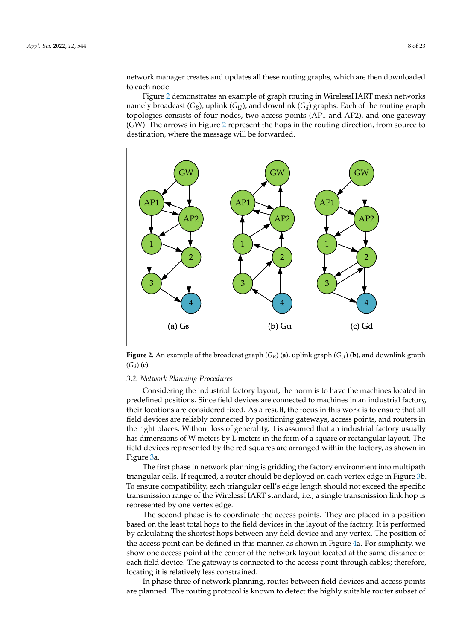network manager creates and updates all these routing graphs, which are then downloaded to each node.

Figure [2](#page-7-0) demonstrates an example of graph routing in WirelessHART mesh networks namely broadcast (*GB*), uplink (*GU*), and downlink (*G<sup>d</sup>* ) graphs. Each of the routing graph topologies consists of four nodes, two access points (AP1 and AP2), and one gateway (GW). The arrows in Figure [2](#page-7-0) represent the hops in the routing direction, from source to destination, where the message will be forwarded.

<span id="page-7-0"></span>

**Figure 2.** An example of the broadcast graph (*GB*) (**a**), uplink graph (*GU*) (**b**), and downlink graph  $(G_d)$  (**c**).

#### *3.2. Network Planning Procedures*

Considering the industrial factory layout, the norm is to have the machines located in predefined positions. Since field devices are connected to machines in an industrial factory, their locations are considered fixed. As a result, the focus in this work is to ensure that all field devices are reliably connected by positioning gateways, access points, and routers in the right places. Without loss of generality, it is assumed that an industrial factory usually has dimensions of W meters by L meters in the form of a square or rectangular layout. The field devices represented by the red squares are arranged within the factory, as shown in Figure [3a](#page-8-0).

The first phase in network planning is gridding the factory environment into multipath triangular cells. If required, a router should be deployed on each vertex edge in Figure [3b](#page-8-0). To ensure compatibility, each triangular cell's edge length should not exceed the specific transmission range of the WirelessHART standard, i.e., a single transmission link hop is represented by one vertex edge.

The second phase is to coordinate the access points. They are placed in a position based on the least total hops to the field devices in the layout of the factory. It is performed by calculating the shortest hops between any field device and any vertex. The position of the access point can be defined in this manner, as shown in Figure [4a](#page-8-1). For simplicity, we show one access point at the center of the network layout located at the same distance of each field device. The gateway is connected to the access point through cables; therefore, locating it is relatively less constrained.

In phase three of network planning, routes between field devices and access points are planned. The routing protocol is known to detect the highly suitable router subset of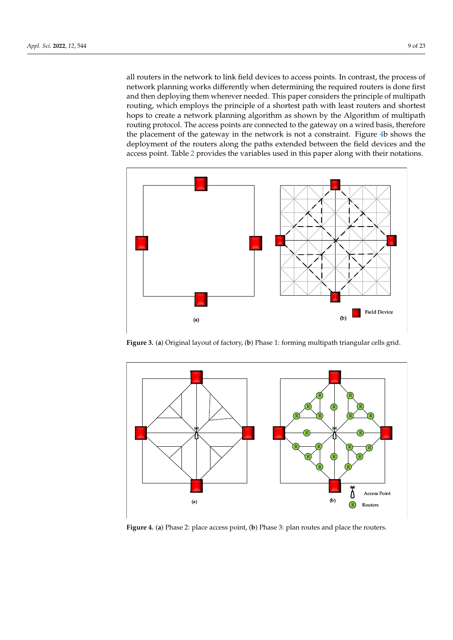all routers in the network to link field devices to access points. In contrast, the process of network planning works differently when determining the required routers is done first and then deploying them wherever needed. This paper considers the principle of multipath routing, which employs the principle of a shortest path with least routers and shortest hops to create a network planning algorithm as shown by the Algorithm of multipath routing protocol. The access points are connected to the gateway on a wired basis, therefore the placement of the gateway in the network is not a constraint. Figure [4b](#page-8-1) shows the deployment of the routers along the paths extended between the field devices and the access point. Table [2](#page-9-0) provides the variables used in this paper along with their notations.

<span id="page-8-0"></span>

**Figure 3.** (**a**) Original layout of factory, (**b**) Phase 1: forming multipath triangular cells grid.

<span id="page-8-1"></span>

**Figure 4.** (**a**) Phase 2: place access point, (**b**) Phase 3: plan routes and place the routers.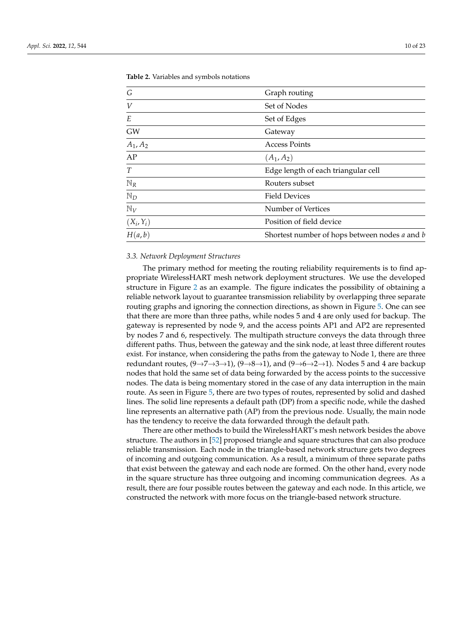*G* Graph routing *V* Set of Nodes *E* Set of Edges GW Gateway *A*1, *A*<sup>2</sup> Access Points  $AP$  (*A*<sub>1</sub>, *A*<sub>2</sub>) *T* Edge length of each triangular cell N<sub>R</sub> Routers subset

Position of field device

<span id="page-9-0"></span>**Table 2.** Variables and symbols notations

#### <span id="page-9-1"></span>*3.3. Network Deployment Structures*

 $(X_i, Y_i)$ 

N<sub>D</sub> Field Devices

N*<sup>V</sup>* Number of Vertices

The primary method for meeting the routing reliability requirements is to find appropriate WirelessHART mesh network deployment structures. We use the developed structure in Figure [2](#page-7-0) as an example. The figure indicates the possibility of obtaining a reliable network layout to guarantee transmission reliability by overlapping three separate routing graphs and ignoring the connection directions, as shown in Figure [5.](#page-10-0) One can see that there are more than three paths, while nodes 5 and 4 are only used for backup. The gateway is represented by node 9, and the access points AP1 and AP2 are represented by nodes 7 and 6, respectively. The multipath structure conveys the data through three different paths. Thus, between the gateway and the sink node, at least three different routes exist. For instance, when considering the paths from the gateway to Node 1, there are three redundant routes,  $(9 \rightarrow 7 \rightarrow 3 \rightarrow 1)$ ,  $(9 \rightarrow 8 \rightarrow 1)$ , and  $(9 \rightarrow 6 \rightarrow 2 \rightarrow 1)$ . Nodes 5 and 4 are backup nodes that hold the same set of data being forwarded by the access points to the successive nodes. The data is being momentary stored in the case of any data interruption in the main route. As seen in Figure [5,](#page-10-0) there are two types of routes, represented by solid and dashed lines. The solid line represents a default path (DP) from a specific node, while the dashed line represents an alternative path (AP) from the previous node. Usually, the main node has the tendency to receive the data forwarded through the default path.

*H*(*a*, *b*) Shortest number of hops between nodes *a* and *b*

There are other methods to build the WirelessHART's mesh network besides the above structure. The authors in [\[52\]](#page-21-23) proposed triangle and square structures that can also produce reliable transmission. Each node in the triangle-based network structure gets two degrees of incoming and outgoing communication. As a result, a minimum of three separate paths that exist between the gateway and each node are formed. On the other hand, every node in the square structure has three outgoing and incoming communication degrees. As a result, there are four possible routes between the gateway and each node. In this article, we constructed the network with more focus on the triangle-based network structure.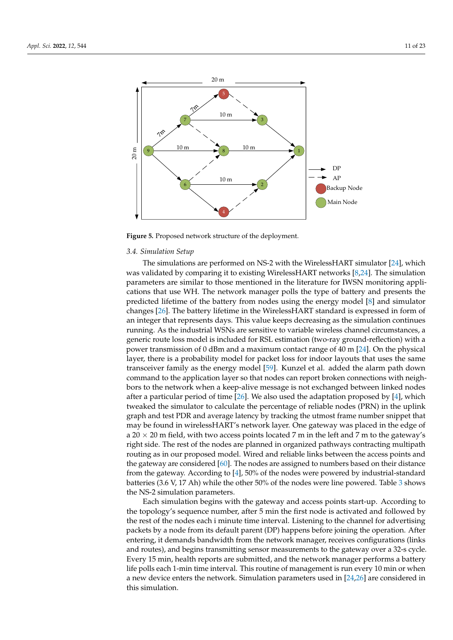<span id="page-10-0"></span>

**Figure 5.** Proposed network structure of the deployment.

#### *3.4. Simulation Setup*

The simulations are performed on NS-2 with the WirelessHART simulator [\[24\]](#page-20-23), which was validated by comparing it to existing WirelessHART networks [\[8](#page-20-7)[,24\]](#page-20-23). The simulation parameters are similar to those mentioned in the literature for IWSN monitoring applications that use WH. The network manager polls the type of battery and presents the predicted lifetime of the battery from nodes using the energy model [\[8\]](#page-20-7) and simulator changes [\[26\]](#page-20-25). The battery lifetime in the WirelessHART standard is expressed in form of an integer that represents days. This value keeps decreasing as the simulation continues running. As the industrial WSNs are sensitive to variable wireless channel circumstances, a generic route loss model is included for RSL estimation (two-ray ground-reflection) with a power transmission of 0 dBm and a maximum contact range of 40 m [\[24\]](#page-20-23). On the physical layer, there is a probability model for packet loss for indoor layouts that uses the same transceiver family as the energy model [\[59\]](#page-22-2). Kunzel et al. added the alarm path down command to the application layer so that nodes can report broken connections with neighbors to the network when a keep-alive message is not exchanged between linked nodes after a particular period of time  $[26]$ . We also used the adaptation proposed by  $[4]$ , which tweaked the simulator to calculate the percentage of reliable nodes (PRN) in the uplink graph and test PDR and average latency by tracking the utmost frame number snippet that may be found in wirelessHART's network layer. One gateway was placed in the edge of a 20  $\times$  20 m field, with two access points located 7 m in the left and 7 m to the gateway's right side. The rest of the nodes are planned in organized pathways contracting multipath routing as in our proposed model. Wired and reliable links between the access points and the gateway are considered [\[60\]](#page-22-3). The nodes are assigned to numbers based on their distance from the gateway. According to [\[4\]](#page-20-3), 50% of the nodes were powered by industrial-standard batteries (3.6 V, 17 Ah) while the other 50% of the nodes were line powered. Table [3](#page-11-0) shows the NS-2 simulation parameters.

Each simulation begins with the gateway and access points start-up. According to the topology's sequence number, after 5 min the first node is activated and followed by the rest of the nodes each i minute time interval. Listening to the channel for advertising packets by a node from its default parent (DP) happens before joining the operation. After entering, it demands bandwidth from the network manager, receives configurations (links and routes), and begins transmitting sensor measurements to the gateway over a 32-s cycle. Every 15 min, health reports are submitted, and the network manager performs a battery life polls each 1-min time interval. This routine of management is run every 10 min or when a new device enters the network. Simulation parameters used in [\[24,](#page-20-23)[26\]](#page-20-25) are considered in this simulation.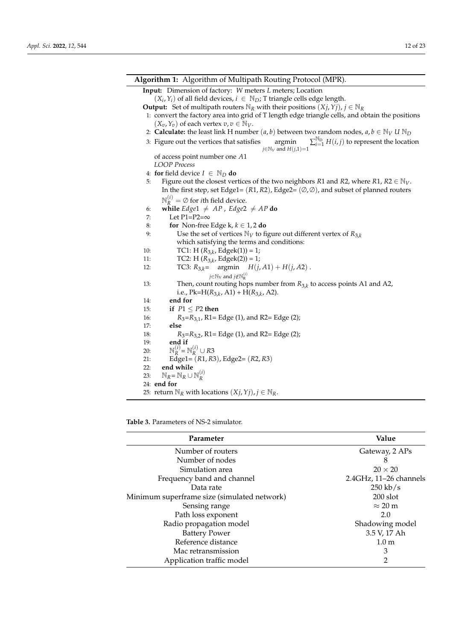| <b>Algorithm 1:</b> Algorithm of Multipath Routing Protocol (MPR).                                                                                 |  |
|----------------------------------------------------------------------------------------------------------------------------------------------------|--|
| Input: Dimension of factory: W meters L meters; Location                                                                                           |  |
| $(X_i, Y_i)$ of all field devices, $i \in \mathbb{N}_D$ ; T triangle cells edge length.                                                            |  |
| <b>Output:</b> Set of multipath routers $\mathbb{N}_R$ with their positions $(X_j, Y_j)$ , $j \in \mathbb{N}_R$                                    |  |
| 1: convert the factory area into grid of T length edge triangle cells, and obtain the positions                                                    |  |
| $(X_v, Y_v)$ of each vertex $v, v \in \mathbb{N}_V$ .                                                                                              |  |
| 2: <b>Calculate:</b> the least link H number $(a, b)$ between two random nodes, $a, b \in \mathbb{N}_V U \mathbb{N}_D$                             |  |
| $\sum_{i=1}^{N_D} H(i, j)$ to represent the location<br>3: Figure out the vertices that satisfies<br>argmin<br>$j \in \mathbb{N}_V$ and $H(j,1)=1$ |  |
| of access point number one A1                                                                                                                      |  |
| <b>LOOP</b> Process                                                                                                                                |  |
| 4: for field device $I \in \mathbb{N}_D$ do                                                                                                        |  |
| Figure out the closest vertices of the two neighbors R1 and R2, where R1, $R2 \in \mathbb{N}_V$ .<br>5:                                            |  |
| In the first step, set Edge1= $(R1, R2)$ , Edge2= $(\emptyset, \emptyset)$ , and subset of planned routers                                         |  |
| $\mathbb{N}_{p}^{(1)} = \emptyset$ for <i>i</i> th field device.                                                                                   |  |
| while Edge1 $\neq AP$ , Edge2 $\neq AP$ do<br>6:                                                                                                   |  |
| Let $P1 = P2 = \infty$<br>7:                                                                                                                       |  |
| for Non-free Edge k, $k \in 1, 2$ do<br>8:                                                                                                         |  |
| Use the set of vertices $\mathbb{N}_V$ to figure out different vertex of $R_{3,k}$<br>9:                                                           |  |
| which satisfying the terms and conditions:                                                                                                         |  |
| TC1: H $(R_{3,k},$ Edgek(1)) = 1;<br>10:                                                                                                           |  |
| TC2: H $(R_{3,k},$ Edgek $(2)) = 1$ ;<br>11:                                                                                                       |  |
| TC3: $R_{3,k}$ = argmin $H(j, A1) + H(j, A2)$ .<br>12:                                                                                             |  |
| $j \in \mathbb{N}_V$ and $j \notin \mathbb{N}_R^{(i)}$                                                                                             |  |
| Then, count routing hops number from $R_{3,k}$ to access points A1 and A2,<br>13:                                                                  |  |
| i.e., Pk=H( $R_{3,k}$ , A1) + H( $R_{3,k}$ , A2).                                                                                                  |  |
| end for<br>14:                                                                                                                                     |  |
| 15:<br>if $P1 \leq P2$ then                                                                                                                        |  |
| $R_3=R_{3,1}$ , R1= Edge (1), and R2= Edge (2);<br>16:                                                                                             |  |
| 17:<br>else                                                                                                                                        |  |
| 18:<br>$R_3=R_{3,2}$ , R1= Edge (1), and R2= Edge (2);                                                                                             |  |
| end if<br>19:<br>$\mathbb{N}_R^{(i)} = \mathbb{N}_R^{(i)} \cup R3$                                                                                 |  |
| 20:<br>21:                                                                                                                                         |  |
| Edge1 = $(R1, R3)$ , Edge2 = $(R2, R3)$<br>end while<br>22:                                                                                        |  |
| $\mathbb{N}_R = \mathbb{N}_R \cup \mathbb{N}_R^{(i)}$<br>23:                                                                                       |  |
| 24: end for                                                                                                                                        |  |
| 25: return $\mathbb{N}_R$ with locations $(Xj, Yj), j \in \mathbb{N}_R$ .                                                                          |  |
|                                                                                                                                                    |  |

<span id="page-11-0"></span>**Table 3.** Parameters of NS-2 simulator.

| Parameter                                   | Value                  |
|---------------------------------------------|------------------------|
| Number of routers                           | Gateway, 2 APs         |
| Number of nodes                             | 8                      |
| Simulation area                             | $20 \times 20$         |
| Frequency band and channel                  | 2.4GHz, 11-26 channels |
| Data rate                                   | $250 \text{ kb/s}$     |
| Minimum superframe size (simulated network) | $200$ slot             |
| Sensing range                               | $\approx$ 20 m         |
| Path loss exponent                          | 2.0                    |
| Radio propagation model                     | Shadowing model        |
| <b>Battery Power</b>                        | 3.5 V, 17 Ah           |
| Reference distance                          | 1.0 <sub>m</sub>       |
| Mac retransmission                          | 3                      |
| Application traffic model                   | $\overline{2}$         |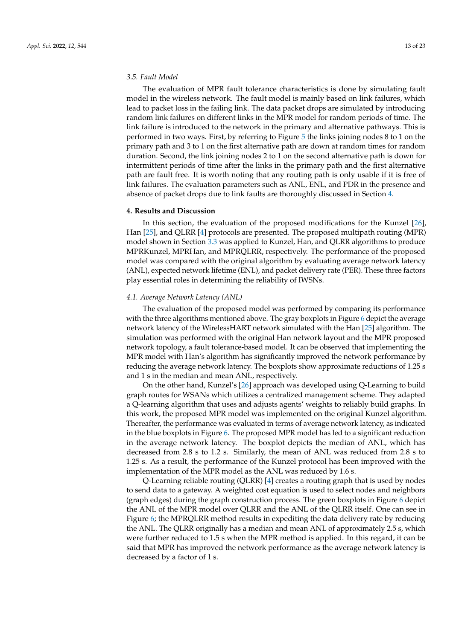#### *3.5. Fault Model*

The evaluation of MPR fault tolerance characteristics is done by simulating fault model in the wireless network. The fault model is mainly based on link failures, which lead to packet loss in the failing link. The data packet drops are simulated by introducing random link failures on different links in the MPR model for random periods of time. The link failure is introduced to the network in the primary and alternative pathways. This is performed in two ways. First, by referring to Figure [5](#page-10-0) the links joining nodes 8 to 1 on the primary path and 3 to 1 on the first alternative path are down at random times for random duration. Second, the link joining nodes 2 to 1 on the second alternative path is down for intermittent periods of time after the links in the primary path and the first alternative path are fault free. It is worth noting that any routing path is only usable if it is free of link failures. The evaluation parameters such as ANL, ENL, and PDR in the presence and absence of packet drops due to link faults are thoroughly discussed in Section [4.](#page-12-0)

## <span id="page-12-0"></span>**4. Results and Discussion**

In this section, the evaluation of the proposed modifications for the Kunzel [\[26\]](#page-20-25), Han [\[25\]](#page-20-24), and QLRR [\[4\]](#page-20-3) protocols are presented. The proposed multipath routing (MPR) model shown in Section [3.3](#page-9-1) was applied to Kunzel, Han, and QLRR algorithms to produce MPRKunzel, MPRHan, and MPRQLRR, respectively. The performance of the proposed model was compared with the original algorithm by evaluating average network latency (ANL), expected network lifetime (ENL), and packet delivery rate (PER). These three factors play essential roles in determining the reliability of IWSNs.

#### <span id="page-12-1"></span>*4.1. Average Network Latency (ANL)*

The evaluation of the proposed model was performed by comparing its performance with the three algorithms mentioned above. The gray boxplots in Figure [6](#page-13-0) depict the average network latency of the WirelessHART network simulated with the Han [\[25\]](#page-20-24) algorithm. The simulation was performed with the original Han network layout and the MPR proposed network topology, a fault tolerance-based model. It can be observed that implementing the MPR model with Han's algorithm has significantly improved the network performance by reducing the average network latency. The boxplots show approximate reductions of 1.25 s and 1 s in the median and mean ANL, respectively.

On the other hand, Kunzel's [\[26\]](#page-20-25) approach was developed using Q-Learning to build graph routes for WSANs which utilizes a centralized management scheme. They adapted a Q-learning algorithm that uses and adjusts agents' weights to reliably build graphs. In this work, the proposed MPR model was implemented on the original Kunzel algorithm. Thereafter, the performance was evaluated in terms of average network latency, as indicated in the blue boxplots in Figure [6.](#page-13-0) The proposed MPR model has led to a significant reduction in the average network latency. The boxplot depicts the median of ANL, which has decreased from 2.8 s to 1.2 s. Similarly, the mean of ANL was reduced from 2.8 s to 1.25 s. As a result, the performance of the Kunzel protocol has been improved with the implementation of the MPR model as the ANL was reduced by 1.6 s.

Q-Learning reliable routing (QLRR) [\[4\]](#page-20-3) creates a routing graph that is used by nodes to send data to a gateway. A weighted cost equation is used to select nodes and neighbors (graph edges) during the graph construction process. The green boxplots in Figure [6](#page-13-0) depict the ANL of the MPR model over QLRR and the ANL of the QLRR itself. One can see in Figure [6;](#page-13-0) the MPRQLRR method results in expediting the data delivery rate by reducing the ANL. The QLRR originally has a median and mean ANL of approximately 2.5 s, which were further reduced to 1.5 s when the MPR method is applied. In this regard, it can be said that MPR has improved the network performance as the average network latency is decreased by a factor of 1 s.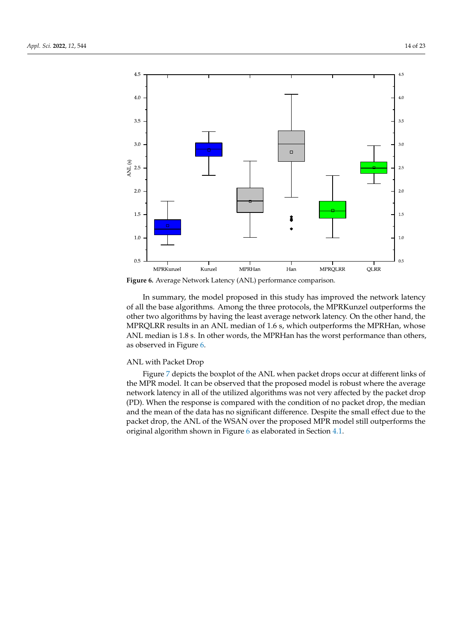<span id="page-13-0"></span>

**Figure 6.** Average Network Latency (ANL) performance comparison.

In summary, the model proposed in this study has improved the network latency of all the base algorithms. Among the three protocols, the MPRKunzel outperforms the other two algorithms by having the least average network latency. On the other hand, the MPRQLRR results in an ANL median of 1.6 s, which outperforms the MPRHan, whose ANL median is 1.8 s. In other words, the MPRHan has the worst performance than others, as observed in Figure [6.](#page-13-0)

## ANL with Packet Drop

Figure [7](#page-14-0) depicts the boxplot of the ANL when packet drops occur at different links of the MPR model. It can be observed that the proposed model is robust where the average network latency in all of the utilized algorithms was not very affected by the packet drop (PD). When the response is compared with the condition of no packet drop, the median and the mean of the data has no significant difference. Despite the small effect due to the packet drop, the ANL of the WSAN over the proposed MPR model still outperforms the original algorithm shown in Figure [6](#page-13-0) as elaborated in Section [4.1.](#page-12-1)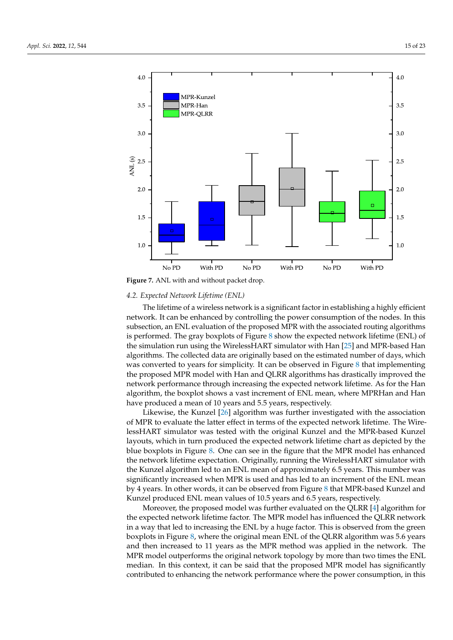<span id="page-14-0"></span>

**Figure 7.** ANL with and without packet drop.

# <span id="page-14-1"></span>*4.2. Expected Network Lifetime (ENL)*

The lifetime of a wireless network is a significant factor in establishing a highly efficient network. It can be enhanced by controlling the power consumption of the nodes. In this subsection, an ENL evaluation of the proposed MPR with the associated routing algorithms is performed. The gray boxplots of Figure [8](#page-15-0) show the expected network lifetime (ENL) of the simulation run using the WirelessHART simulator with Han [\[25\]](#page-20-24) and MPR-based Han algorithms. The collected data are originally based on the estimated number of days, which was converted to years for simplicity. It can be observed in Figure [8](#page-15-0) that implementing the proposed MPR model with Han and QLRR algorithms has drastically improved the network performance through increasing the expected network lifetime. As for the Han algorithm, the boxplot shows a vast increment of ENL mean, where MPRHan and Han have produced a mean of 10 years and 5.5 years, respectively.

Likewise, the Kunzel [\[26\]](#page-20-25) algorithm was further investigated with the association of MPR to evaluate the latter effect in terms of the expected network lifetime. The WirelessHART simulator was tested with the original Kunzel and the MPR-based Kunzel layouts, which in turn produced the expected network lifetime chart as depicted by the blue boxplots in Figure [8.](#page-15-0) One can see in the figure that the MPR model has enhanced the network lifetime expectation. Originally, running the WirelessHART simulator with the Kunzel algorithm led to an ENL mean of approximately 6.5 years. This number was significantly increased when MPR is used and has led to an increment of the ENL mean by 4 years. In other words, it can be observed from Figure [8](#page-15-0) that MPR-based Kunzel and Kunzel produced ENL mean values of 10.5 years and 6.5 years, respectively.

Moreover, the proposed model was further evaluated on the QLRR [\[4\]](#page-20-3) algorithm for the expected network lifetime factor. The MPR model has influenced the QLRR network in a way that led to increasing the ENL by a huge factor. This is observed from the green boxplots in Figure [8,](#page-15-0) where the original mean ENL of the QLRR algorithm was 5.6 years and then increased to 11 years as the MPR method was applied in the network. The MPR model outperforms the original network topology by more than two times the ENL median. In this context, it can be said that the proposed MPR model has significantly contributed to enhancing the network performance where the power consumption, in this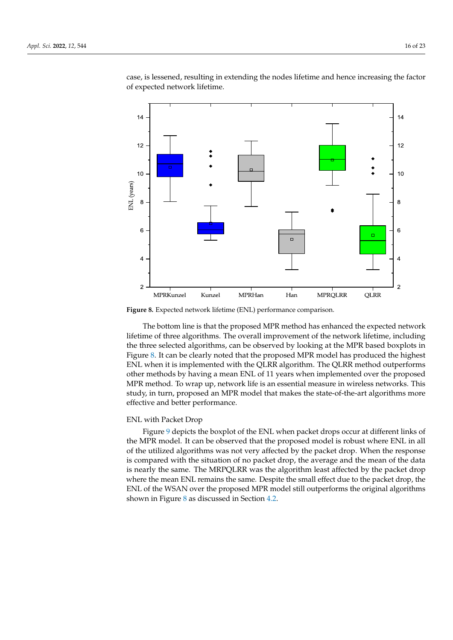case, is lessened, resulting in extending the nodes lifetime and hence increasing the factor of expected network lifetime.

<span id="page-15-0"></span>

**Figure 8.** Expected network lifetime (ENL) performance comparison.

The bottom line is that the proposed MPR method has enhanced the expected network lifetime of three algorithms. The overall improvement of the network lifetime, including the three selected algorithms, can be observed by looking at the MPR based boxplots in Figure [8.](#page-15-0) It can be clearly noted that the proposed MPR model has produced the highest ENL when it is implemented with the QLRR algorithm. The QLRR method outperforms other methods by having a mean ENL of 11 years when implemented over the proposed MPR method. To wrap up, network life is an essential measure in wireless networks. This study, in turn, proposed an MPR model that makes the state-of-the-art algorithms more effective and better performance.

## ENL with Packet Drop

Figure [9](#page-16-0) depicts the boxplot of the ENL when packet drops occur at different links of the MPR model. It can be observed that the proposed model is robust where ENL in all of the utilized algorithms was not very affected by the packet drop. When the response is compared with the situation of no packet drop, the average and the mean of the data is nearly the same. The MRPQLRR was the algorithm least affected by the packet drop where the mean ENL remains the same. Despite the small effect due to the packet drop, the ENL of the WSAN over the proposed MPR model still outperforms the original algorithms shown in Figure [8](#page-15-0) as discussed in Section [4.2.](#page-14-1)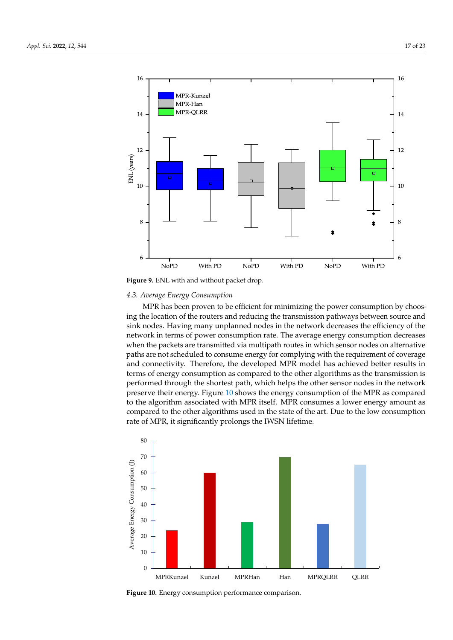<span id="page-16-0"></span>

**Figure 9.** ENL with and without packet drop.

# *4.3. Average Energy Consumption*

MPR has been proven to be efficient for minimizing the power consumption by choosing the location of the routers and reducing the transmission pathways between source and sink nodes. Having many unplanned nodes in the network decreases the efficiency of the network in terms of power consumption rate. The average energy consumption decreases when the packets are transmitted via multipath routes in which sensor nodes on alternative paths are not scheduled to consume energy for complying with the requirement of coverage and connectivity. Therefore, the developed MPR model has achieved better results in terms of energy consumption as compared to the other algorithms as the transmission is performed through the shortest path, which helps the other sensor nodes in the network preserve their energy. Figure [10](#page-16-1) shows the energy consumption of the MPR as compared to the algorithm associated with MPR itself. MPR consumes a lower energy amount as compared to the other algorithms used in the state of the art. Due to the low consumption rate of MPR, it significantly prolongs the IWSN lifetime.

<span id="page-16-1"></span>

**Figure 10.** Energy consumption performance comparison.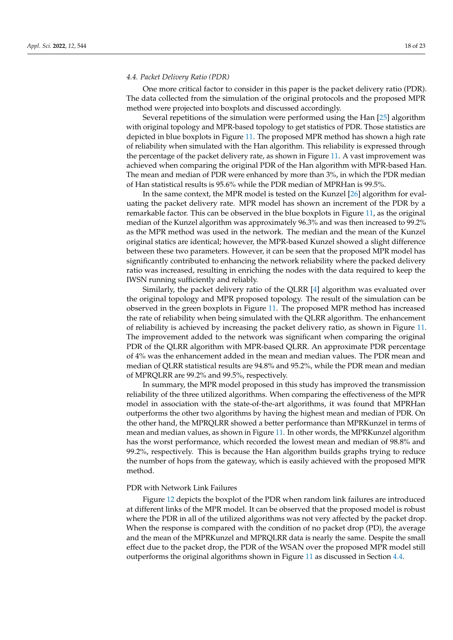#### <span id="page-17-0"></span>*4.4. Packet Delivery Ratio (PDR)*

One more critical factor to consider in this paper is the packet delivery ratio (PDR). The data collected from the simulation of the original protocols and the proposed MPR method were projected into boxplots and discussed accordingly.

Several repetitions of the simulation were performed using the Han [\[25\]](#page-20-24) algorithm with original topology and MPR-based topology to get statistics of PDR. Those statistics are depicted in blue boxplots in Figure [11.](#page-18-0) The proposed MPR method has shown a high rate of reliability when simulated with the Han algorithm. This reliability is expressed through the percentage of the packet delivery rate, as shown in Figure [11.](#page-18-0) A vast improvement was achieved when comparing the original PDR of the Han algorithm with MPR-based Han. The mean and median of PDR were enhanced by more than 3%, in which the PDR median of Han statistical results is 95.6% while the PDR median of MPRHan is 99.5%.

In the same context, the MPR model is tested on the Kunzel [\[26\]](#page-20-25) algorithm for evaluating the packet delivery rate. MPR model has shown an increment of the PDR by a remarkable factor. This can be observed in the blue boxplots in Figure [11,](#page-18-0) as the original median of the Kunzel algorithm was approximately 96.3% and was then increased to 99.2% as the MPR method was used in the network. The median and the mean of the Kunzel original statics are identical; however, the MPR-based Kunzel showed a slight difference between these two parameters. However, it can be seen that the proposed MPR model has significantly contributed to enhancing the network reliability where the packed delivery ratio was increased, resulting in enriching the nodes with the data required to keep the IWSN running sufficiently and reliably.

Similarly, the packet delivery ratio of the QLRR [\[4\]](#page-20-3) algorithm was evaluated over the original topology and MPR proposed topology. The result of the simulation can be observed in the green boxplots in Figure [11.](#page-18-0) The proposed MPR method has increased the rate of reliability when being simulated with the QLRR algorithm. The enhancement of reliability is achieved by increasing the packet delivery ratio, as shown in Figure [11.](#page-18-0) The improvement added to the network was significant when comparing the original PDR of the QLRR algorithm with MPR-based QLRR. An approximate PDR percentage of 4% was the enhancement added in the mean and median values. The PDR mean and median of QLRR statistical results are 94.8% and 95.2%, while the PDR mean and median of MPRQLRR are 99.2% and 99.5%, respectively.

In summary, the MPR model proposed in this study has improved the transmission reliability of the three utilized algorithms. When comparing the effectiveness of the MPR model in association with the state-of-the-art algorithms, it was found that MPRHan outperforms the other two algorithms by having the highest mean and median of PDR. On the other hand, the MPRQLRR showed a better performance than MPRKunzel in terms of mean and median values, as shown in Figure [11.](#page-18-0) In other words, the MPRKunzel algorithm has the worst performance, which recorded the lowest mean and median of 98.8% and 99.2%, respectively. This is because the Han algorithm builds graphs trying to reduce the number of hops from the gateway, which is easily achieved with the proposed MPR method.

#### PDR with Network Link Failures

Figure [12](#page-18-1) depicts the boxplot of the PDR when random link failures are introduced at different links of the MPR model. It can be observed that the proposed model is robust where the PDR in all of the utilized algorithms was not very affected by the packet drop. When the response is compared with the condition of no packet drop (PD), the average and the mean of the MPRKunzel and MPRQLRR data is nearly the same. Despite the small effect due to the packet drop, the PDR of the WSAN over the proposed MPR model still outperforms the original algorithms shown in Figure [11](#page-18-0) as discussed in Section [4.4.](#page-17-0)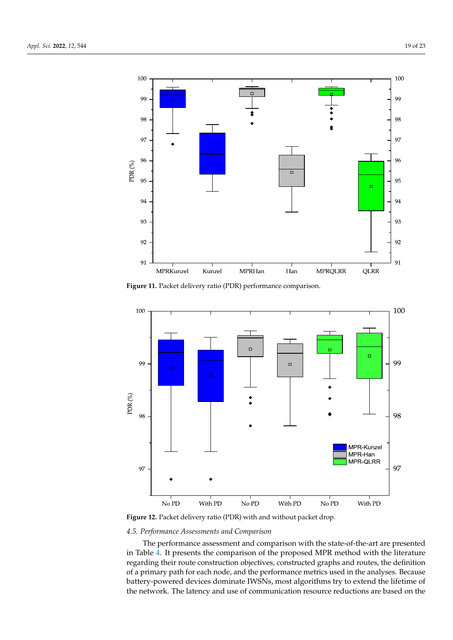<span id="page-18-0"></span>

**Figure 11.** Packet delivery ratio (PDR) performance comparison.

<span id="page-18-1"></span>

**Figure 12.** Packet delivery ratio (PDR) with and without packet drop.

## *4.5. Performance Assessments and Comparison*

The performance assessment and comparison with the state-of-the-art are presented in Table [4.](#page-19-1) It presents the comparison of the proposed MPR method with the literature regarding their route construction objectives, constructed graphs and routes, the definition of a primary path for each node, and the performance metrics used in the analyses. Because battery-powered devices dominate IWSNs, most algorithms try to extend the lifetime of the network. The latency and use of communication resource reductions are based on the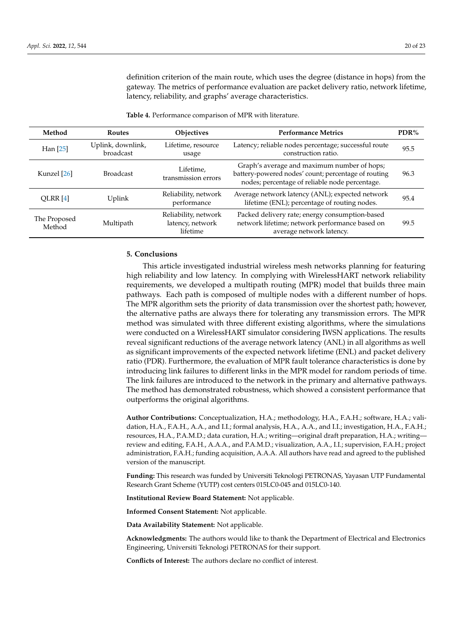definition criterion of the main route, which uses the degree (distance in hops) from the gateway. The metrics of performance evaluation are packet delivery ratio, network lifetime, latency, reliability, and graphs' average characteristics.

| Method                 | <b>Routes</b>                  | <b>Objectives</b>                                    | <b>Performance Metrics</b>                                                                                                                           | $PDR\%$ |
|------------------------|--------------------------------|------------------------------------------------------|------------------------------------------------------------------------------------------------------------------------------------------------------|---------|
| Han $[25]$             | Uplink, downlink,<br>broadcast | Lifetime, resource<br>usage                          | Latency; reliable nodes percentage; successful route<br>construction ratio.                                                                          | 95.5    |
| Kunzel [26]            | <b>Broadcast</b>               | Lifetime,<br>transmission errors                     | Graph's average and maximum number of hops;<br>battery-powered nodes' count; percentage of routing<br>nodes; percentage of reliable node percentage. | 96.3    |
| QLRR $[4]$             | Uplink                         | Reliability, network<br>performance                  | Average network latency (ANL); expected network<br>lifetime (ENL); percentage of routing nodes.                                                      | 95.4    |
| The Proposed<br>Method | Multipath                      | Reliability, network<br>latency, network<br>lifetime | Packed delivery rate; energy consumption-based<br>network lifetime; network performance based on<br>average network latency.                         | 99.5    |

<span id="page-19-1"></span>**Table 4.** Performance comparison of MPR with literature.

# <span id="page-19-0"></span>**5. Conclusions**

This article investigated industrial wireless mesh networks planning for featuring high reliability and low latency. In complying with WirelessHART network reliability requirements, we developed a multipath routing (MPR) model that builds three main pathways. Each path is composed of multiple nodes with a different number of hops. The MPR algorithm sets the priority of data transmission over the shortest path; however, the alternative paths are always there for tolerating any transmission errors. The MPR method was simulated with three different existing algorithms, where the simulations were conducted on a WirelessHART simulator considering IWSN applications. The results reveal significant reductions of the average network latency (ANL) in all algorithms as well as significant improvements of the expected network lifetime (ENL) and packet delivery ratio (PDR). Furthermore, the evaluation of MPR fault tolerance characteristics is done by introducing link failures to different links in the MPR model for random periods of time. The link failures are introduced to the network in the primary and alternative pathways. The method has demonstrated robustness, which showed a consistent performance that outperforms the original algorithms.

**Author Contributions:** Conceptualization, H.A.; methodology, H.A., F.A.H.; software, H.A.; validation, H.A., F.A.H., A.A., and I.I.; formal analysis, H.A., A.A., and I.I.; investigation, H.A., F.A.H.; resources, H.A., P.A.M.D.; data curation, H.A.; writing—original draft preparation, H.A.; writing review and editing, F.A.H., A.A.A., and P.A.M.D.; visualization, A.A., I.I.; supervision, F.A.H.; project administration, F.A.H.; funding acquisition, A.A.A. All authors have read and agreed to the published version of the manuscript.

**Funding:** This research was funded by Universiti Teknologi PETRONAS, Yayasan UTP Fundamental Research Grant Scheme (YUTP) cost centers 015LC0-045 and 015LC0-140.

**Institutional Review Board Statement:** Not applicable.

**Informed Consent Statement:** Not applicable.

**Data Availability Statement:** Not applicable.

**Acknowledgments:** The authors would like to thank the Department of Electrical and Electronics Engineering, Universiti Teknologi PETRONAS for their support.

**Conflicts of Interest:** The authors declare no conflict of interest.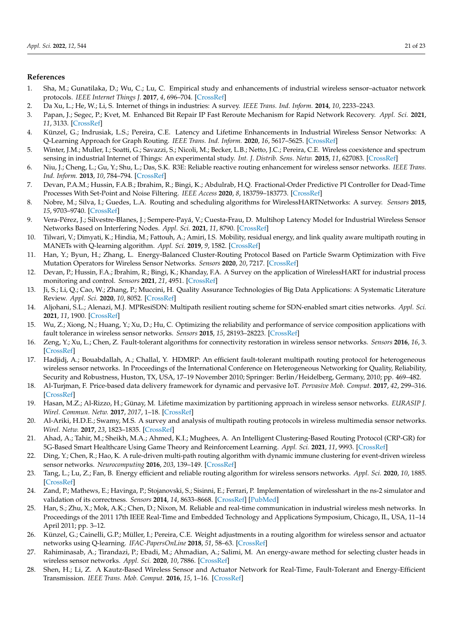## **References**

- <span id="page-20-0"></span>1. Sha, M.; Gunatilaka, D.; Wu, C.; Lu, C. Empirical study and enhancements of industrial wireless sensor–actuator network protocols. *IEEE Internet Things J.* **2017**, *4*, 696–704. [\[CrossRef\]](http://doi.org/10.1109/JIOT.2017.2653362)
- <span id="page-20-1"></span>2. Da Xu, L.; He, W.; Li, S. Internet of things in industries: A survey. *IEEE Trans. Ind. Inform.* **2014**, *10*, 2233–2243.
- <span id="page-20-2"></span>3. Papan, J.; Segec, P.; Kvet, M. Enhanced Bit Repair IP Fast Reroute Mechanism for Rapid Network Recovery. *Appl. Sci.* **2021**, *11*, 3133. [\[CrossRef\]](http://dx.doi.org/10.3390/app11073133)
- <span id="page-20-3"></span>4. Künzel, G.; Indrusiak, L.S.; Pereira, C.E. Latency and Lifetime Enhancements in Industrial Wireless Sensor Networks: A Q-Learning Approach for Graph Routing. *IEEE Trans. Ind. Inform.* **2020**, *16*, 5617–5625. [\[CrossRef\]](http://dx.doi.org/10.1109/TII.2019.2941771)
- <span id="page-20-4"></span>5. Winter, J.M.; Muller, I.; Soatti, G.; Savazzi, S.; Nicoli, M.; Becker, L.B.; Netto, J.C.; Pereira, C.E. Wireless coexistence and spectrum sensing in industrial Internet of Things: An experimental study. *Int. J. Distrib. Sens. Netw.* **2015**, *11*, 627083. [\[CrossRef\]](http://dx.doi.org/10.1155/2015/627083)
- <span id="page-20-5"></span>6. Niu, J.; Cheng, L.; Gu, Y.; Shu, L.; Das, S.K. R3E: Reliable reactive routing enhancement for wireless sensor networks. *IEEE Trans. Ind. Inform.* **2013**, *10*, 784–794. [\[CrossRef\]](http://dx.doi.org/10.1109/TII.2013.2261082)
- <span id="page-20-6"></span>7. Devan, P.A.M.; Hussin, F.A.B.; Ibrahim, R.; Bingi, K.; Abdulrab, H.Q. Fractional-Order Predictive PI Controller for Dead-Time Processes With Set-Point and Noise Filtering. *IEEE Access* **2020**, *8*, 183759–183773. [\[CrossRef\]](http://dx.doi.org/10.1109/ACCESS.2020.3029068)
- <span id="page-20-7"></span>8. Nobre, M.; Silva, I.; Guedes, L.A. Routing and scheduling algorithms for WirelessHARTNetworks: A survey. *Sensors* **2015**, *15*, 9703–9740. [\[CrossRef\]](http://dx.doi.org/10.3390/s150509703)
- <span id="page-20-8"></span>9. Vera-Pérez, J.; Silvestre-Blanes, J.; Sempere-Payá, V.; Cuesta-Frau, D. Multihop Latency Model for Industrial Wireless Sensor Networks Based on Interfering Nodes. *Appl. Sci.* **2021**, *11*, 8790. [\[CrossRef\]](http://dx.doi.org/10.3390/app11198790)
- <span id="page-20-9"></span>10. Tilwari, V.; Dimyati, K.; Hindia, M.; Fattouh, A.; Amiri, I.S. Mobility, residual energy, and link quality aware multipath routing in MANETs with Q-learning algorithm. *Appl. Sci.* **2019**, *9*, 1582. [\[CrossRef\]](http://dx.doi.org/10.3390/app9081582)
- <span id="page-20-10"></span>11. Han, Y.; Byun, H.; Zhang, L. Energy-Balanced Cluster-Routing Protocol Based on Particle Swarm Optimization with Five Mutation Operators for Wireless Sensor Networks. *Sensors* **2020**, *20*, 7217. [\[CrossRef\]](http://dx.doi.org/10.3390/s20247217)
- <span id="page-20-11"></span>12. Devan, P.; Hussin, F.A.; Ibrahim, R.; Bingi, K.; Khanday, F.A. A Survey on the application of WirelessHART for industrial process monitoring and control. *Sensors* **2021**, *21*, 4951. [\[CrossRef\]](http://dx.doi.org/10.3390/s21154951)
- <span id="page-20-12"></span>13. Ji, S.; Li, Q.; Cao, W.; Zhang, P.; Muccini, H. Quality Assurance Technologies of Big Data Applications: A Systematic Literature Review. *Appl. Sci.* **2020**, *10*, 8052. [\[CrossRef\]](http://dx.doi.org/10.3390/app10228052)
- <span id="page-20-13"></span>14. Aljohani, S.L.; Alenazi, M.J. MPResiSDN: Multipath resilient routing scheme for SDN-enabled smart cities networks. *Appl. Sci.* **2021**, *11*, 1900. [\[CrossRef\]](http://dx.doi.org/10.3390/app11041900)
- <span id="page-20-14"></span>15. Wu, Z.; Xiong, N.; Huang, Y.; Xu, D.; Hu, C. Optimizing the reliability and performance of service composition applications with fault tolerance in wireless sensor networks. *Sensors* **2015**, *15*, 28193–28223. [\[CrossRef\]](http://dx.doi.org/10.3390/s151128193)
- <span id="page-20-15"></span>16. Zeng, Y.; Xu, L.; Chen, Z. Fault-tolerant algorithms for connectivity restoration in wireless sensor networks. *Sensors* **2016**, *16*, 3. [\[CrossRef\]](http://dx.doi.org/10.3390/s16010003)
- <span id="page-20-16"></span>17. Hadjidj, A.; Bouabdallah, A.; Challal, Y. HDMRP: An efficient fault-tolerant multipath routing protocol for heterogeneous wireless sensor networks. In Proceedings of the International Conference on Heterogeneous Networking for Quality, Reliability, Security and Robustness, Huston, TX, USA, 17–19 November 2010; Springer: Berlin/Heidelberg, Germany, 2010; pp. 469–482.
- <span id="page-20-17"></span>18. Al-Turjman, F. Price-based data delivery framework for dynamic and pervasive IoT. *Pervasive Mob. Comput.* **2017**, *42*, 299–316. [\[CrossRef\]](http://dx.doi.org/10.1016/j.pmcj.2017.05.001)
- <span id="page-20-18"></span>19. Hasan, M.Z.; Al-Rizzo, H.; Günay, M. Lifetime maximization by partitioning approach in wireless sensor networks. *EURASIP J. Wirel. Commun. Netw.* **2017**, *2017*, 1–18. [\[CrossRef\]](http://dx.doi.org/10.1186/s13638-016-0803-1)
- <span id="page-20-19"></span>20. Al-Ariki, H.D.E.; Swamy, M.S. A survey and analysis of multipath routing protocols in wireless multimedia sensor networks. *Wirel. Netw.* **2017**, *23*, 1823–1835. [\[CrossRef\]](http://dx.doi.org/10.1007/s11276-016-1256-5)
- <span id="page-20-20"></span>21. Ahad, A.; Tahir, M.; Sheikh, M.A.; Ahmed, K.I.; Mughees, A. An Intelligent Clustering-Based Routing Protocol (CRP-GR) for 5G-Based Smart Healthcare Using Game Theory and Reinforcement Learning. *Appl. Sci.* **2021**, *11*, 9993. [\[CrossRef\]](http://dx.doi.org/10.3390/app11219993)
- <span id="page-20-21"></span>22. Ding, Y.; Chen, R.; Hao, K. A rule-driven multi-path routing algorithm with dynamic immune clustering for event-driven wireless sensor networks. *Neurocomputing* **2016**, *203*, 139–149. [\[CrossRef\]](http://dx.doi.org/10.1016/j.neucom.2016.03.052)
- <span id="page-20-22"></span>23. Tang, L.; Lu, Z.; Fan, B. Energy efficient and reliable routing algorithm for wireless sensors networks. *Appl. Sci.* **2020**, *10*, 1885. [\[CrossRef\]](http://dx.doi.org/10.3390/app10051885)
- <span id="page-20-23"></span>24. Zand, P.; Mathews, E.; Havinga, P.; Stojanovski, S.; Sisinni, E.; Ferrari, P. Implementation of wirelesshart in the ns-2 simulator and validation of its correctness. *Sensors* **2014**, *14*, 8633–8668. [\[CrossRef\]](http://dx.doi.org/10.3390/s140508633) [\[PubMed\]](http://www.ncbi.nlm.nih.gov/pubmed/24841245)
- <span id="page-20-24"></span>25. Han, S.; Zhu, X.; Mok, A.K.; Chen, D.; Nixon, M. Reliable and real-time communication in industrial wireless mesh networks. In Proceedings of the 2011 17th IEEE Real-Time and Embedded Technology and Applications Symposium, Chicago, IL, USA, 11–14 April 2011; pp. 3–12.
- <span id="page-20-25"></span>26. Künzel, G.; Cainelli, G.P.; Müller, I.; Pereira, C.E. Weight adjustments in a routing algorithm for wireless sensor and actuator networks using Q-learning. *IFAC-PapersOnLine* **2018**, *51*, 58–63. [\[CrossRef\]](http://dx.doi.org/10.1016/j.ifacol.2018.06.236)
- <span id="page-20-26"></span>27. Rahiminasab, A.; Tirandazi, P.; Ebadi, M.; Ahmadian, A.; Salimi, M. An energy-aware method for selecting cluster heads in wireless sensor networks. *Appl. Sci.* **2020**, *10*, 7886. [\[CrossRef\]](http://dx.doi.org/10.3390/app10217886)
- <span id="page-20-27"></span>28. Shen, H.; Li, Z. A Kautz-Based Wireless Sensor and Actuator Network for Real-Time, Fault-Tolerant and Energy-Efficient Transmission. *IEEE Trans. Mob. Comput.* **2016**, *15*, 1–16. [\[CrossRef\]](http://dx.doi.org/10.1109/TMC.2015.2407391)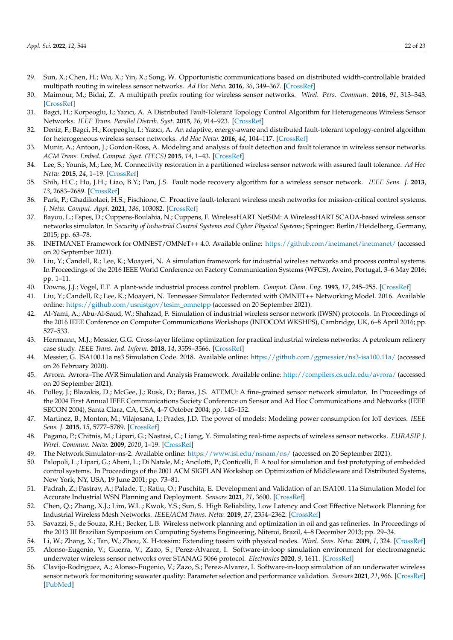- <span id="page-21-0"></span>29. Sun, X.; Chen, H.; Wu, X.; Yin, X.; Song, W. Opportunistic communications based on distributed width-controllable braided multipath routing in wireless sensor networks. *Ad Hoc Netw.* **2016**, *36*, 349–367. [\[CrossRef\]](http://dx.doi.org/10.1016/j.adhoc.2015.08.015)
- <span id="page-21-1"></span>30. Maimour, M.; Bidai, Z. A multipath prefix routing for wireless sensor networks. *Wirel. Pers. Commun.* **2016**, *91*, 313–343. [\[CrossRef\]](http://dx.doi.org/10.1007/s11277-016-3463-x)
- <span id="page-21-2"></span>31. Bagci, H.; Korpeoglu, I.; Yazıcı, A. A Distributed Fault-Tolerant Topology Control Algorithm for Heterogeneous Wireless Sensor Networks. *IEEE Trans. Parallel Distrib. Syst.* **2015**, *26*, 914–923. [\[CrossRef\]](http://dx.doi.org/10.1109/TPDS.2014.2316142)
- <span id="page-21-3"></span>32. Deniz, F.; Bagci, H.; Korpeoglu, I.; Yazıcı, A. An adaptive, energy-aware and distributed fault-tolerant topology-control algorithm for heterogeneous wireless sensor networks. *Ad Hoc Netw.* **2016**, *44*, 104–117. [\[CrossRef\]](http://dx.doi.org/10.1016/j.adhoc.2016.02.018)
- <span id="page-21-4"></span>33. Munir, A.; Antoon, J.; Gordon-Ross, A. Modeling and analysis of fault detection and fault tolerance in wireless sensor networks. *ACM Trans. Embed. Comput. Syst. (TECS)* **2015**, *14*, 1–43. [\[CrossRef\]](http://dx.doi.org/10.1145/2680538)
- <span id="page-21-5"></span>34. Lee, S.; Younis, M.; Lee, M. Connectivity restoration in a partitioned wireless sensor network with assured fault tolerance. *Ad Hoc Netw.* **2015**, *24*, 1–19. [\[CrossRef\]](http://dx.doi.org/10.1016/j.adhoc.2014.07.012)
- <span id="page-21-6"></span>35. Shih, H.C.; Ho, J.H.; Liao, B.Y.; Pan, J.S. Fault node recovery algorithm for a wireless sensor network. *IEEE Sens. J.* **2013**, *13*, 2683–2689. [\[CrossRef\]](http://dx.doi.org/10.1109/JSEN.2013.2255591)
- <span id="page-21-7"></span>36. Park, P.; Ghadikolaei, H.S.; Fischione, C. Proactive fault-tolerant wireless mesh networks for mission-critical control systems. *J. Netw. Comput. Appl.* **2021**, *186*, 103082. [\[CrossRef\]](http://dx.doi.org/10.1016/j.jnca.2021.103082)
- <span id="page-21-8"></span>37. Bayou, L.; Espes, D.; Cuppens-Boulahia, N.; Cuppens, F. WirelessHART NetSIM: A WirelessHART SCADA-based wireless sensor networks simulator. In *Security of Industrial Control Systems and Cyber Physical Systems*; Springer: Berlin/Heidelberg, Germany, 2015; pp. 63–78.
- <span id="page-21-9"></span>38. INETMANET Framework for OMNEST/OMNeT++ 4.0. Available online: <https://github.com/inetmanet/inetmanet/> (accessed on 20 September 2021).
- <span id="page-21-10"></span>39. Liu, Y.; Candell, R.; Lee, K.; Moayeri, N. A simulation framework for industrial wireless networks and process control systems. In Proceedings of the 2016 IEEE World Conference on Factory Communication Systems (WFCS), Aveiro, Portugal, 3–6 May 2016; pp. 1–11.
- <span id="page-21-11"></span>40. Downs, J.J.; Vogel, E.F. A plant-wide industrial process control problem. *Comput. Chem. Eng.* **1993**, *17*, 245–255. [\[CrossRef\]](http://dx.doi.org/10.1016/0098-1354(93)80018-I)
- <span id="page-21-12"></span>41. Liu, Y.; Candell, R.; Lee, K.; Moayeri, N. Tennessee Simulator Federated with OMNET++ Networking Model. 2016. Available online: [https://github.com/usnistgov/tesim\\_omnetpp](https://github.com/usnistgov/tesim_omnetpp) (accessed on 20 September 2021).
- <span id="page-21-13"></span>42. Al-Yami, A.; Abu-Al-Saud, W.; Shahzad, F. Simulation of industrial wireless sensor network (IWSN) protocols. In Proceedings of the 2016 IEEE Conference on Computer Communications Workshops (INFOCOM WKSHPS), Cambridge, UK, 6–8 April 2016; pp. 527–533.
- <span id="page-21-14"></span>43. Herrmann, M.J.; Messier, G.G. Cross-layer lifetime optimization for practical industrial wireless networks: A petroleum refinery case study. *IEEE Trans. Ind. Inform.* **2018**, *14*, 3559–3566. [\[CrossRef\]](http://dx.doi.org/10.1109/TII.2018.2819678)
- <span id="page-21-15"></span>44. Messier, G. ISA100.11a ns3 Simulation Code. 2018. Available online: <https://github.com/ggmessier/ns3-isa100.11a/> (accessed on 26 February 2020).
- <span id="page-21-16"></span>45. Avrora. Avrora–The AVR Simulation and Analysis Framework. Available online: <http://compilers.cs.ucla.edu/avrora/> (accessed on 20 September 2021).
- <span id="page-21-17"></span>46. Polley, J.; Blazakis, D.; McGee, J.; Rusk, D.; Baras, J.S. ATEMU: A fine-grained sensor network simulator. In Proceedings of the 2004 First Annual IEEE Communications Society Conference on Sensor and Ad Hoc Communications and Networks (IEEE SECON 2004), Santa Clara, CA, USA, 4–7 October 2004; pp. 145–152.
- <span id="page-21-18"></span>47. Martinez, B.; Monton, M.; Vilajosana, I.; Prades, J.D. The power of models: Modeling power consumption for IoT devices. *IEEE Sens. J.* **2015**, *15*, 5777–5789. [\[CrossRef\]](http://dx.doi.org/10.1109/JSEN.2015.2445094)
- <span id="page-21-19"></span>48. Pagano, P.; Chitnis, M.; Lipari, G.; Nastasi, C.; Liang, Y. Simulating real-time aspects of wireless sensor networks. *EURASIP J. Wirel. Commun. Netw.* **2009**, *2010*, 1–19. [\[CrossRef\]](http://dx.doi.org/10.1155/2010/107946)
- <span id="page-21-20"></span>49. The Network Simulator–ns-2. Available online: <https://www.isi.edu/nsnam/ns/> (accessed on 20 September 2021).
- <span id="page-21-21"></span>50. Palopoli, L.; Lipari, G.; Abeni, L.; Di Natale, M.; Ancilotti, P.; Conticelli, F. A tool for simulation and fast prototyping of embedded control systems. In Proceedings of the 2001 ACM SIGPLAN Workshop on Optimization of Middleware and Distributed Systems, New York, NY, USA, 19 June 2001; pp. 73–81.
- <span id="page-21-22"></span>51. Padrah, Z.; Pastrav, A.; Palade, T.; Ratiu, O.; Puschita, E. Development and Validation of an ISA100. 11a Simulation Model for Accurate Industrial WSN Planning and Deployment. *Sensors* **2021**, *21*, 3600. [\[CrossRef\]](http://dx.doi.org/10.3390/s21113600)
- <span id="page-21-23"></span>52. Chen, Q.; Zhang, X.J.; Lim, W.L.; Kwok, Y.S.; Sun, S. High Reliability, Low Latency and Cost Effective Network Planning for Industrial Wireless Mesh Networks. *IEEE/ACM Trans. Netw.* **2019**, *27*, 2354–2362. [\[CrossRef\]](http://dx.doi.org/10.1109/TNET.2019.2947077)
- <span id="page-21-24"></span>53. Savazzi, S.; de Souza, R.H.; Becker, L.B. Wireless network planning and optimization in oil and gas refineries. In Proceedings of the 2013 III Brazilian Symposium on Computing Systems Engineering, Niteroi, Brazil, 4–8 December 2013; pp. 29–34.
- <span id="page-21-26"></span><span id="page-21-25"></span>54. Li, W.; Zhang, X.; Tan, W.; Zhou, X. H-tossim: Extending tossim with physical nodes. *Wirel. Sens. Netw.* **2009**, *1*, 324. [\[CrossRef\]](http://dx.doi.org/10.4236/wsn.2009.14040) 55. Alonso-Eugenio, V.; Guerra, V.; Zazo, S.; Perez-Alvarez, I. Software-in-loop simulation environment for electromagnetic underwater wireless sensor networks over STANAG 5066 protocol. *Electronics* **2020**, *9*, 1611. [\[CrossRef\]](http://dx.doi.org/10.3390/electronics9101611)
- <span id="page-21-27"></span>56. Clavijo-Rodriguez, A.; Alonso-Eugenio, V.; Zazo, S.; Perez-Alvarez, I. Software-in-loop simulation of an underwater wireless sensor network for monitoring seawater quality: Parameter selection and performance validation. *Sensors* **2021**, *21*, 966. [\[CrossRef\]](http://dx.doi.org/10.3390/s21030966) [\[PubMed\]](http://www.ncbi.nlm.nih.gov/pubmed/33535478)